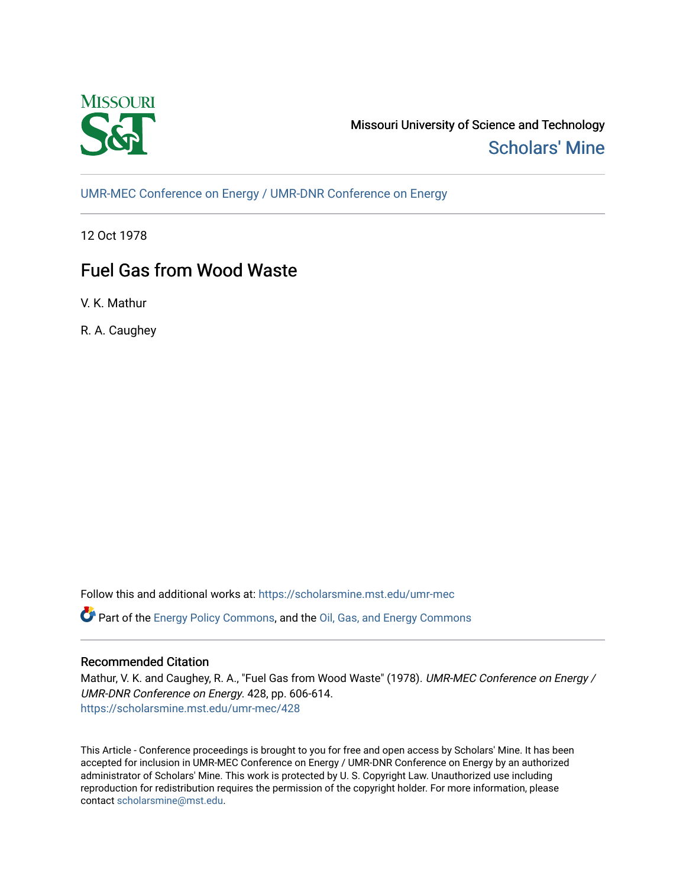

Missouri University of Science and Technology [Scholars' Mine](https://scholarsmine.mst.edu/) 

[UMR-MEC Conference on Energy / UMR-DNR Conference on Energy](https://scholarsmine.mst.edu/umr-mec)

12 Oct 1978

# Fuel Gas from Wood Waste

V. K. Mathur

R. A. Caughey

Follow this and additional works at: [https://scholarsmine.mst.edu/umr-mec](https://scholarsmine.mst.edu/umr-mec?utm_source=scholarsmine.mst.edu%2Fumr-mec%2F428&utm_medium=PDF&utm_campaign=PDFCoverPages) 

Part of the [Energy Policy Commons](http://network.bepress.com/hgg/discipline/1065?utm_source=scholarsmine.mst.edu%2Fumr-mec%2F428&utm_medium=PDF&utm_campaign=PDFCoverPages), and the [Oil, Gas, and Energy Commons](http://network.bepress.com/hgg/discipline/171?utm_source=scholarsmine.mst.edu%2Fumr-mec%2F428&utm_medium=PDF&utm_campaign=PDFCoverPages)

## Recommended Citation

Mathur, V. K. and Caughey, R. A., "Fuel Gas from Wood Waste" (1978). UMR-MEC Conference on Energy / UMR-DNR Conference on Energy. 428, pp. 606-614. [https://scholarsmine.mst.edu/umr-mec/428](https://scholarsmine.mst.edu/umr-mec/428?utm_source=scholarsmine.mst.edu%2Fumr-mec%2F428&utm_medium=PDF&utm_campaign=PDFCoverPages) 

This Article - Conference proceedings is brought to you for free and open access by Scholars' Mine. It has been accepted for inclusion in UMR-MEC Conference on Energy / UMR-DNR Conference on Energy by an authorized administrator of Scholars' Mine. This work is protected by U. S. Copyright Law. Unauthorized use including reproduction for redistribution requires the permission of the copyright holder. For more information, please contact [scholarsmine@mst.edu](mailto:scholarsmine@mst.edu).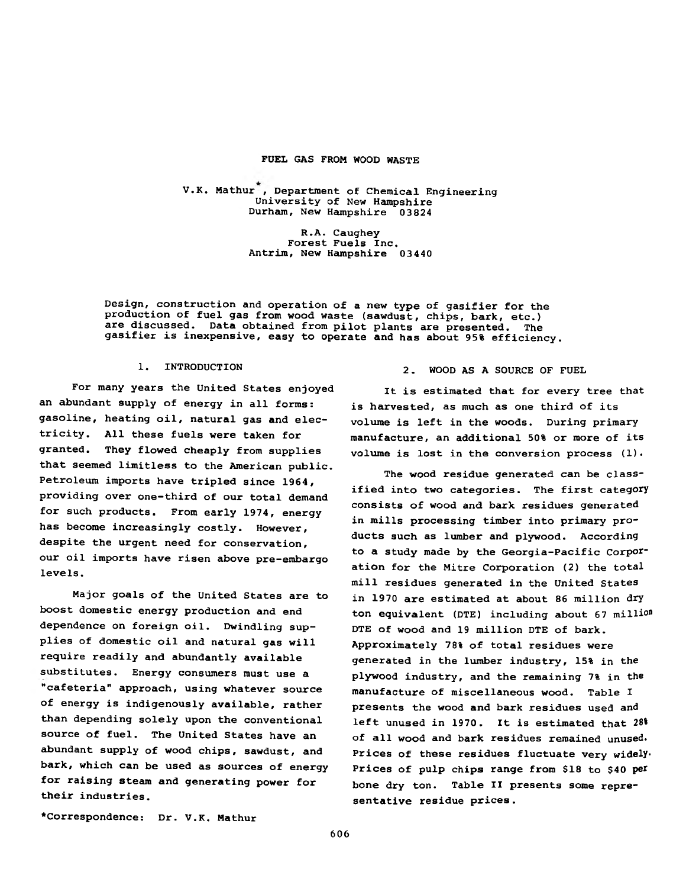#### **FUEL GAS FROM WOOD WASTE**

**V.K. Mathur , Department of Chemical Engineering University of New Hampshire Durham, New Hampshire 03824**

> **R.A. Caughey Forest Fuels Inc. Antrim, New Hampshire 03440**

**Design, construction and operation of a new type of gasifier for the production of fuel gas from wood waste (sawdust, chips, bark, etc.) are discussed. Data obtained from pilot plants are presented. The gasifier is inexpensive, easy to operate and has about 95% efficiency.**

#### **1. INTRODUCTION**

**For many years the United States enjoyed an abundant supply of energy in all forms: gasoline, heating oil, natural gas and electricity. All these fuels were taken for granted. They flowed cheaply from supplies that seemed limitless to the American public. Petroleum imports have tripled since 1964, providing over one-third of our total demand for such products. From early 1974, energy has become increasingly costly. However, despite the urgent need for conservation, our oil imports have risen above pre-embargo levels.**

**Major goals of the United States are to boost domestic energy production and end dependence on foreign oil. Dwindling supplies of domestic oil and natural gas will require readily and abundantly available substitutes. Energy consumers must use a "cafeteria" approach, using whatever source of energy is indigenously available, rather than depending solely upon the conventional source of fuel. The United States have an abundant supply of wood chips, sawdust, and bark, which can be used as sources of energy for raising steam and generating power for their industries.**

#### **2. WOOD AS A SOURCE OF FUEL**

**It is estimated that for every tree that is harvested, as much as one third of its volume is left in the woods. During primary manufacture, an additional 50% or more of its volume is lost in the conversion process (1).**

**The wood residue generated can be classified into two categories. The first category consists of wood and bark residues generated in mills processing timber into primary products such as lumber and plywood. According to a study made by the Georgia-Pacific Corporation for the Mitre Corporation (2) the total mill residues generated in the United States in 1970 are estimated at about 86 million dry ton equivalent (DTE) including about 67 milli°D DTE of wood and 19 million DTE of bark. Approximately 78% of total residues were generated in the lumber industry, 15% in the plywood industry, and the remaining 7% in the manufacture of miscellaneous wood. Table I presents the wood and bark residues used and left unused in 1970. It is estimated that 28\* of all wood and bark residues remained unused. Prices of these residues fluctuate very widely. Prices of pulp chips range from \$18 to \$40 per bone dry ton. Table II presents some representative residue prices.**

**♦Correspondence: Dr. V.K. Mathur**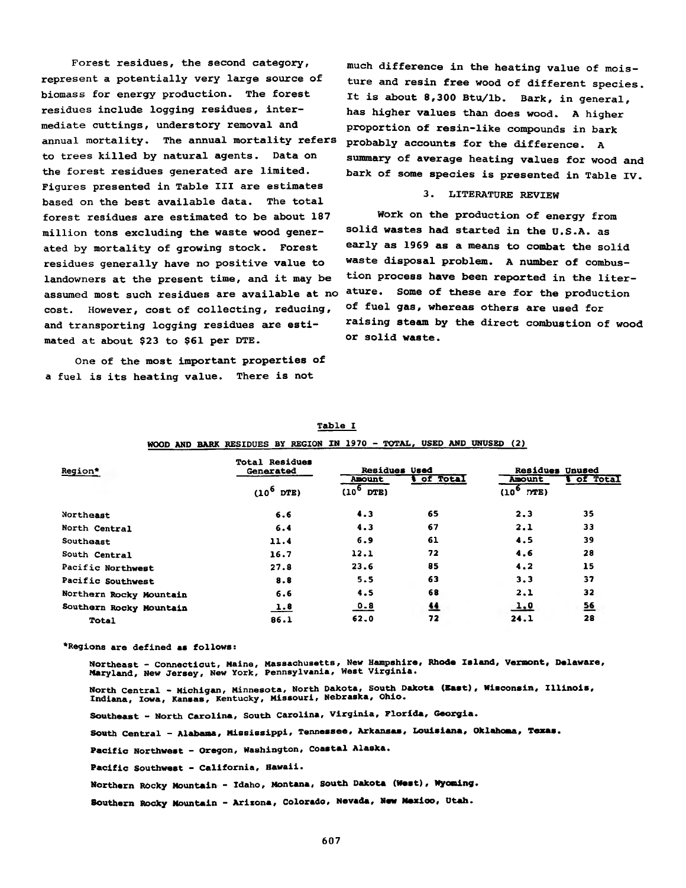**Forest residues, the second category, represent a potentially very large source of biomass for energy production. The forest residues include logging residues, intermediate cuttings, understory removal and annual mortality. The annual mortality refers to trees killed by natural agents. Data on the forest residues generated are limited. Figures presented in Table III are estimates based on the best available data. The total forest residues are estimated to be about 187 million tons excluding the waste wood generated by mortality of growing stock. Forest residues generally have no positive value to landowners at the present time, and it may be assumed most such residues are available at no cost. However, cost of collecting, reducing,** and transporting logging residues are esti**mated at about \$23 to \$61 per DTE.**

**One of the most Important properties of a fuel is its heating value. There is not**

**much difference in the heating value of moisture and resin free wood of different species. It is about 8,300 Btu/lb. Bark, in general, has higher values than does wood. A higher proportion of resin-like compounds in bark probably accounts for the difference. A summary of average heating values for wood and bark of some species is presented in Table IV.**

#### **3. LITERATURE REVIEW**

**Work on the production of energy from solid wastes had started in the U.S.A. as early as 1969 as a means to combat the solid waste disposal problem. A number of combustion process have been reported in the literature. Some of these are for the production of fuel gas, whereas others are used for raising steam by the direct combustion of wood or solid waste.**

|                         | WOOD AND BARK RESIDUES BY REGION IN 1970 - TOTAL, USED AND UNUSED (2) |                                  |          |                                           |                  |
|-------------------------|-----------------------------------------------------------------------|----------------------------------|----------|-------------------------------------------|------------------|
| Region*                 | <b>Total Residues</b><br>Generated                                    | <b>Residues Used</b>             | of Total | <b>Residues Unused</b>                    | <b>Wof Total</b> |
|                         | $(10^6$<br>DTE)                                                       | <b>Amount</b><br>$(10^6$<br>DTE) |          | <b>Anount</b><br>(10 <sup>6</sup><br>DTE) |                  |
| Northeast               | 6.6                                                                   | 4.3                              | 65       | 2.3                                       | 35               |
| North Central           | 6.4                                                                   | 4.3                              | 67       | 2.1                                       | 33               |
| Southeast               | 11.4                                                                  | 6.9                              | 61       | 4.5                                       | 39               |
| South Central           | 16.7                                                                  | 12.1                             | 72       | 4.6                                       | 28               |
| Pacific Northwest       | 27.8                                                                  | 23.6                             | 85       | 4.2                                       | 15               |
| Pacific Southwest       | 8.8                                                                   | 5.5                              | 63       | 3.3                                       | 37               |
| Northern Rocky Mountain | 6.6                                                                   | 4.5                              | 68       | 2.1                                       | 32               |
| Southern Rocky Mountain | <u>1.8</u>                                                            | <u>0.8</u>                       | 丝        | 1.0                                       | <u>56</u>        |
| <b>Total</b>            | 86.1                                                                  | 62.0                             | 72       | 24.1                                      | 28               |

|  | . .<br>- | . . |  |
|--|----------|-----|--|
|  |          |     |  |

**•Regions are defined as follows:**

**Northeast - Connecticut, Maine, Massachusetts, New Hampshire, Rhode Island, Vermont, Delaware, Maryland, New Jersey, New York, Pennsylvania, West Virginia.**

**North Central - Michigan, Minnesota, North Dakota, South Dakota (East), Wisconsin, Illinois, Indiana, Iowa, Kansas, Kentucky, Missouri, Nebraska, Ohio.**

**Southeast - North Carolina, South Carolina, Virginia, Florida, Georgia.**

**South Central - Alabama, Mississippi, Tennessee, Arkansas, Louisiana, Oklahoma, Texas.**

**Pacific Northwest - Oregon, Washington, Coastal Alaska.**

**Pacific Southwest - California, Hawaii.**

**Northern ROcky Mountain - Idaho, Montana, South Dakota (West), Wyoming•**

**Southern Rocky Mountain — Arizona, Colorado, Nevada,** New **Mexico, Utah.**

**607**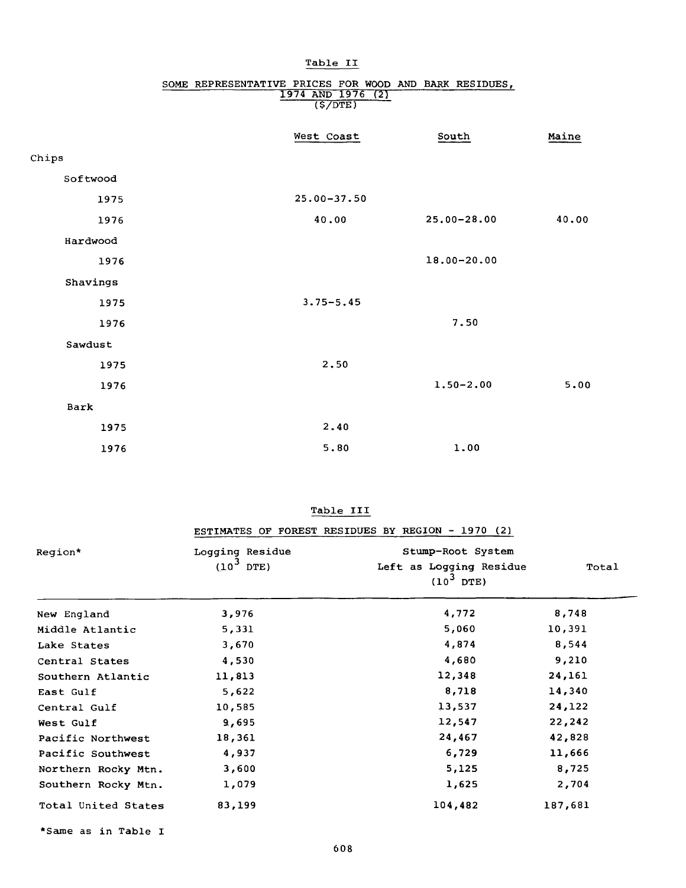|          | $\frac{1374 \text{ MUD} 1370 (2)}{(5/\text{DTE})}$ |                 |       |
|----------|----------------------------------------------------|-----------------|-------|
|          | West Coast                                         | South           | Maine |
| Chips    |                                                    |                 |       |
| Softwood |                                                    |                 |       |
| 1975     | $25.00 - 37.50$                                    |                 |       |
| 1976     | 40.00                                              | $25.00 - 28.00$ | 40.00 |
| Hardwood |                                                    |                 |       |
| 1976     |                                                    | $18.00 - 20.00$ |       |
| Shavings |                                                    |                 |       |
| 1975     | $3.75 - 5.45$                                      |                 |       |
| 1976     |                                                    | 7.50            |       |
| Sawdust  |                                                    |                 |       |
| 1975     | 2.50                                               |                 |       |
| 1976     |                                                    | $1.50 - 2.00$   | 5.00  |
| Bark     |                                                    |                 |       |
| 1975     | 2.40                                               |                 |       |
| 1976     | 5.80                                               | 1.00            |       |

## **Table II**

# **SOME REPRESENTATIVE PRICES FOR WOOD AND BARK RESIDUES, 1974 AND 1976 (2)**

## **Table III**

| Region*             | Logging Residue<br>$(10^3 \text{ DTE})$ | Stump-Root System<br>Left as Logging Residue<br>$(10^3$ DTE) | Total   |
|---------------------|-----------------------------------------|--------------------------------------------------------------|---------|
| New England         | 3,976                                   | 4,772                                                        | 8,748   |
| Middle Atlantic     | 5,331                                   | 5,060                                                        | 10,391  |
| Lake States         | 3,670                                   | 4,874                                                        | 8,544   |
| Central States      | 4,530                                   | 4,680                                                        | 9,210   |
| Southern Atlantic   | 11,813                                  | 12,348                                                       | 24,161  |
| East Gulf           | 5,622                                   | 8,718                                                        | 14,340  |
| Central Gulf        | 10,585                                  | 13,537                                                       | 24,122  |
| West Gulf           | 9,695                                   | 12,547                                                       | 22,242  |
| Pacific Northwest   | 18,361                                  | 24,467                                                       | 42,828  |
| Pacific Southwest   | 4,937                                   | 6,729                                                        | 11,666  |
| Northern Rocky Mtn. | 3,600                                   | 5,125                                                        | 8,725   |
| Southern Rocky Mtn. | 1,079                                   | 1,625                                                        | 2,704   |
| Total United States | 83,199                                  | 104,482                                                      | 187,681 |

**♦Same as in Table I**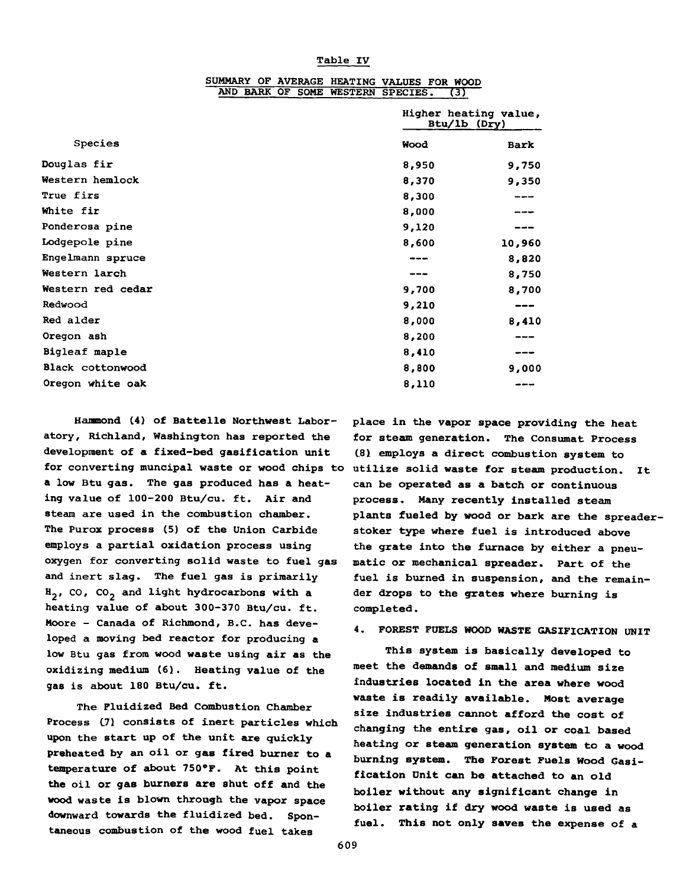#### **Table IV**

|                   |       | Higher heating value,<br>Btu/lb (Dry) |  |  |  |
|-------------------|-------|---------------------------------------|--|--|--|
| Species           | Wood  | <b>Bark</b>                           |  |  |  |
| Douglas fir       | 8,950 | 9,750                                 |  |  |  |
| Western hemlock   | 8,370 | 9,350                                 |  |  |  |
| True firs         | 8,300 |                                       |  |  |  |
| White fir         | 8,000 |                                       |  |  |  |
| Ponderosa pine    | 9,120 |                                       |  |  |  |
| Lodgepole pine    | 8,600 | 10,960                                |  |  |  |
| Engelmann spruce  | ---   | 8,820                                 |  |  |  |
| Western larch     |       | 8,750                                 |  |  |  |
| Western red cedar | 9,700 | 8,700                                 |  |  |  |
| Redwood           | 9,210 | ---                                   |  |  |  |
| Red alder         | 8,000 | 8,410                                 |  |  |  |
| Oregon ash        | 8,200 |                                       |  |  |  |
| Bigleaf maple     | 8,410 |                                       |  |  |  |
| Black cottonwood  | 8,800 | 9,000                                 |  |  |  |
| Oregon white oak  | 8,110 |                                       |  |  |  |

#### **SUMMARY OF AVERAGE HEATING VALUES FOR WOOD AND BARK OF SOME WESTERN SPECIES. (3)**

**Hammond (4) of Battelle Northwest Laboratory, Richland, Washington has reported the development of a fixed-bed gasification unit for converting muncipal waste or wood chips to a low Btu gas. The gas produced has a heating value of 100-200 Btu/cu. ft. Air and steam are used in the combustion chamber. The Purox process (5) of the Union Carbide employs a partial oxidation process using oxygen for converting solid waste to fuel gas and inert slag. The fuel gas is primarily** H<sub>2</sub>, CO, CO<sub>2</sub> and light hydrocarbons with a **heating value of about 300-370 Btu/cu. ft. Moore - Canada of Richmond, B.C. has developed a moving bed reactor for producing a low Btu gas from wood waste using air as the oxidizing medium (6). Heating value of the gas is about 180 Btu/cu. ft.**

**The Fluidized Bed Combustion Chamber Process 171 consists of inert particles which upon the start up of the unit are quickly preheated by an oil or gas fired burner to a temperature of about 750°F. At this point the oil or gas burners are shut off and the wood waste is blown through the vapor space downward towards the fluidized bed. Spontaneous combustion of the wood fuel takes**

**place in the vapor space providing the heat for steam generation. The Consumat Process C81 employs a direct combustion system to utilize solid waste for steam production. It can be operated as a batch or continuous process. Many recently installed steam plants fueled by wood or bark are the spreaderstoker type where fuel is introduced above the grate into the furnace by either a pneumatic or mechanical spreader. Part of the fuel is burned in suspension, and the remainder drops to the grates where burning is completed.**

## **4. FOREST FUELS WOOD WASTE GASIFICATION UNIT**

**This system is basically developed to meet the demands of small and medium size industries located in the area where wood waste is readily available. Most average size industries cannot afford the cost of changing the entire gas, oil or coal based heating or steam generation system to a wood burning system. The Forest Fuels Wood Gasification Dnit can be attached to an old boiler without any significant change in boiler rating if dry wood waste is used as fuel. This not only saves the expense of a**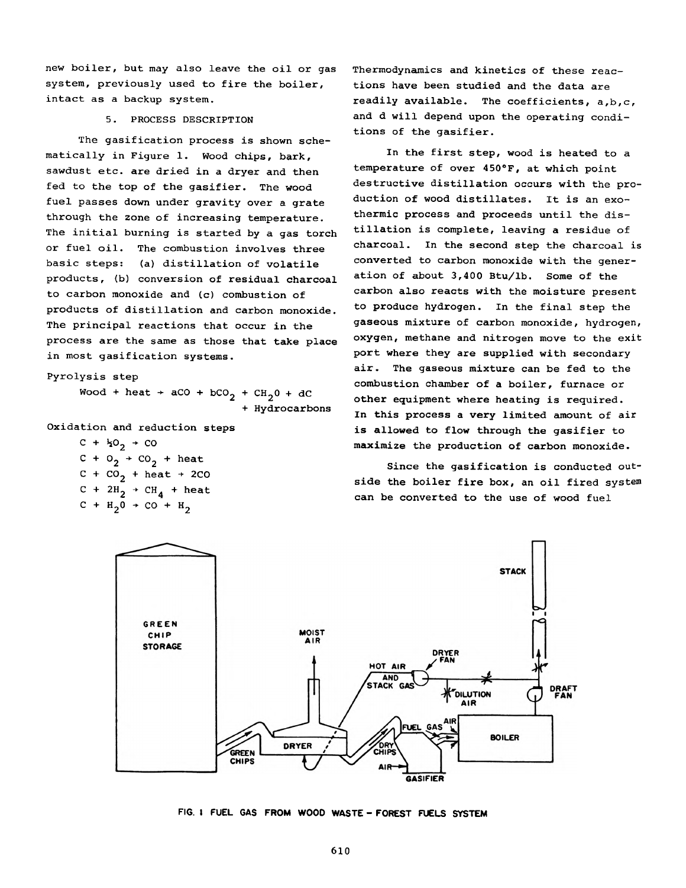**new boiler, but may also leave the oil or gas system, previously used to fire the boiler, intact as a backup system.**

#### **5. PROCESS DESCRIPTION**

**The gasification process is shown schematically in Figure 1. Wood chips, bark, sawdust etc. are dried in a dryer and then fed to the top of the gasifier. The wood fuel passes down under gravity over a grate through the zone of increasing temperature. The initial burning is started by a gas torch or fuel oil. The combustion involves three basic steps: (a) distillation of volatile products, (b) conversion of residual charcoal to carbon monoxide and (c) combustion of products of distillation and carbon monoxide. The principal reactions that occur in the process are the same as those that take place in most gasification systems.**

**Pyrolysis step**

 $Wood + heat + aCO + bCO_2 + CH_20 + dC$ **+ Hydrocarbons**

**Oxidation and reduction steps**

 $C + \frac{1}{2}O_2 + CO$  $c + o_2 + co_2 + \text{heat}$  $C + CO<sub>2</sub> + heat + 2CO$  $C + 2H_2 \rightarrow CH_4 + heat$  $C + H_2 0 \rightarrow CO + H_2$ 

**Thermodynamics and kinetics of these reactions have been studied and the data are readily available. The coefficients, a,b,c, and d will depend upon the operating conditions of the gasifier.**

**In the first step, wood is heated to a temperature of over 450°F, at which point destructive distillation occurs with the production of wood distillates. It is an exothermic process and proceeds until the distillation is complete, leaving a residue of charcoal. In the second step the charcoal is converted to carbon monoxide with the generation of about 3,400 Btu/lb. Some of the carbon also reacts with the moisture present to produce hydrogen. In the final step the gaseous mixture of carbon monoxide, hydrogen, oxygen, methane and nitrogen move to the exit port where they are supplied with secondary air. The gaseous mixture can be fed to the combustion chamber of a boiler, furnace or other equipment where heating is required. In this process a very limited amount of air is allowed to flow through the gasifier to maximize the production of carbon monoxide.**

**Since the gasification is conducted outside the boiler fire box, an oil fired system can be converted to the use of wood fuel**



FIG. I FUEL GAS FROM WOOD WASTE - FOREST FUELS SYSTEM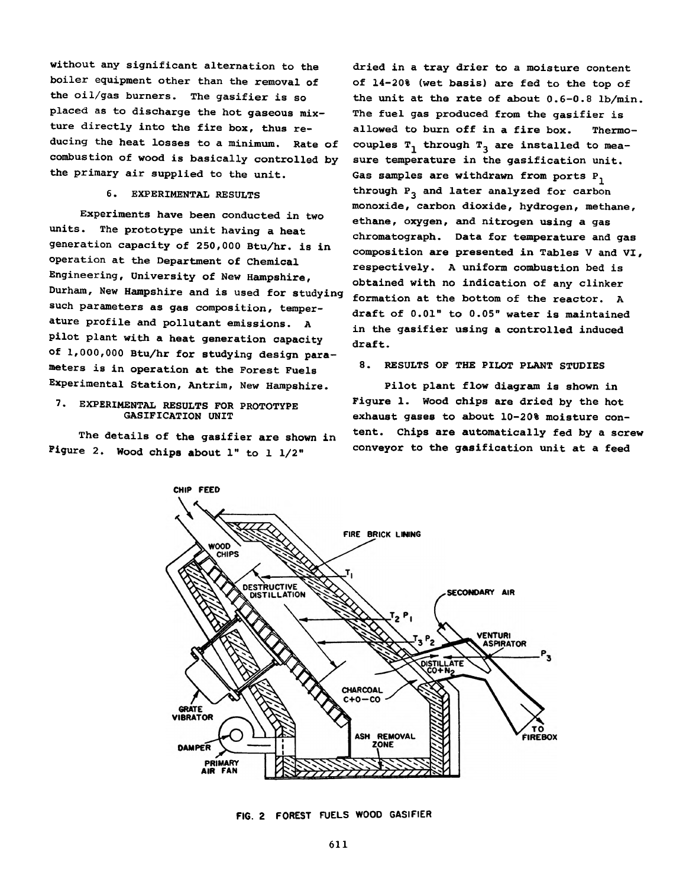**without any significant alternation to the boiler equipment other than the removal of the oil/gas burners. The gasifier is so placed as to discharge the hot gaseous mixture directly into the fire box, thus reducing the heat losses to a minimum. Rate of combustion of wood is basically controlled by the primary air supplied to the unit.**

#### **6. EXPERIMENTAL RESULTS**

**Experiments have been conducted in two units. The prototype unit having a heat generation capacity of 250,000 Btu/hr. is in operation at the Department of Chemical Engineering, University of New Hampshire, Durham, New Hampshire and is used for studying such parameters as gas composition, temperature profile and pollutant emissions. A pilot plant with a heat generation capacity of 1,000,000 Btu/hr for studying design parameters is in operation at the Forest Fuels Experimental Station, Antrim, New Hampshire.**

#### **7. EXPERIMENTAL RESULTS FOR PROTOTYPE GASIFICATION UNIT**

**The details of the gasifier are shown in Figure 2. Wood chips about 1" to 1 1/2"**

**dried in a tray drier to a moisture content of 14-20% (wet basis) are fed to the top of the unit at the rate of about 0.6-0.8 lb/min. The fuel gas produced from the gasifier is allowed to burn off in a fire box. Thermo**couples T<sub>1</sub> through T<sub>3</sub> are installed to mea**sure temperature in the gasification unit. Gas samples are withdrawn from ports P^ through P3 and later analyzed for carbon monoxide, carbon dioxide, hydrogen, methane, ethane, oxygen, and nitrogen using a gas chromatograph. Data for temperature and gas composition are presented in Tables V and VI, respectively. A uniform combustion bed is obtained with no indication of any clinker formation at the bottom of the reactor. A draft of 0.01" to 0.05" water is maintained in the gasifier using a controlled induced draft.**

#### **8. RESULTS OF THE PILOT PLANT STUDIES**

**Pilot plant flow diagram is shown in Figure 1. Wood chips are dried by the hot exhaust gases to about 10-20% moisture content. Chips are automatically fed by a screw conveyor to the gasification unit at a feed**



FIG. 2 FOREST FUELS WOOD GASIFIER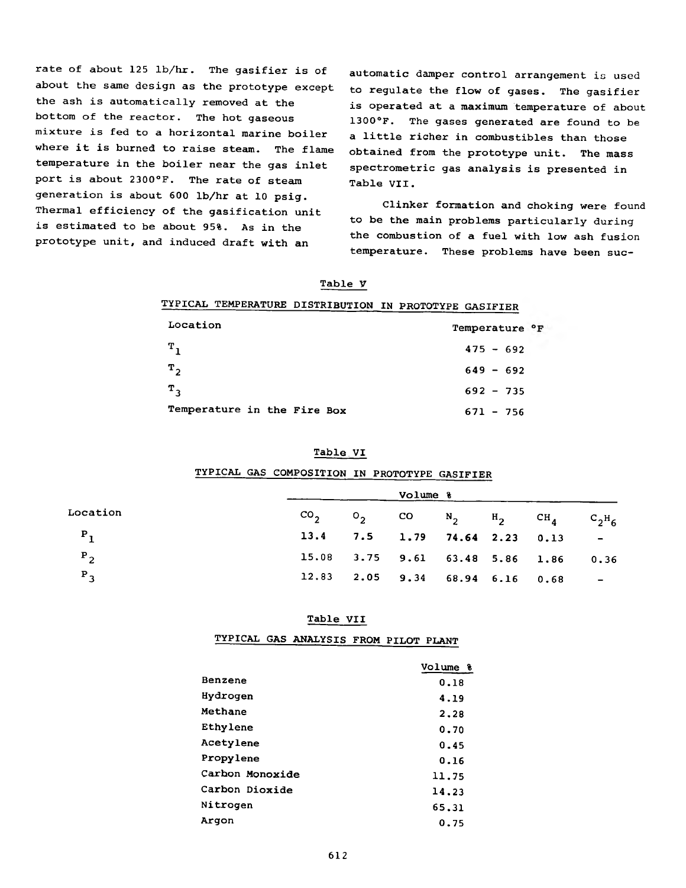**rate of about 125 lb/hr. The gasifier is of about the same design as the prototype except the ash is automatically removed at the bottom of the reactor. The hot gaseous mixture is fed to a horizontal marine boiler where it is burned to raise steam. The flame temperature in the boiler near the gas inlet port is about 2300°F. The rate of steam generation is about 600 lb/hr at 10 psig. Thermal efficiency of the gasification unit is estimated to be about 95%. As in the prototype unit, and induced draft with an**

**automatic damper control arrangement is used to regulate the flow of gases. The gasifier is operated at a maximum temperature of about 1300°F. The gases generated are found to be a little richer in combustibles than those obtained from the prototype unit. The mass spectrometric gas analysis is presented in Table VII.**

**Clinker formation and choking were found to be the main problems particularly during the combustion of a fuel with low ash fusion temperature. These problems have been suc-**

| TYPICAL TEMPERATURE DISTRIBUTION IN PROTOTYPE GASIFIER |  |  |
|--------------------------------------------------------|--|--|
|                                                        |  |  |

| Location                    | Temperature <sup>o</sup> F |
|-----------------------------|----------------------------|
| $T_{\rm 1}$                 | $475 - 692$                |
| $T_{2}$                     | $649 - 692$                |
| $T_{\mathcal{R}}$           | $692 - 735$                |
| Temperature in the Fire Box | $671 - 756$                |

#### **Table.VI**

# **TYPICAL GAS COMPOSITION IN PROTOTYPE GASIFIER**

|                   | Volume % |  |  |                                 |  |                                               |                                  |
|-------------------|----------|--|--|---------------------------------|--|-----------------------------------------------|----------------------------------|
| Location          |          |  |  |                                 |  | $CO_2$ $O_2$ CO $N_2$ $H_2$ $CH_4$ $C_2H_6$   |                                  |
| $P_1$             |          |  |  | $13.4$ 7.5 1.79 74.64 2.23 0.13 |  |                                               | <b>Service Contract Contract</b> |
| $P_{2}$           |          |  |  |                                 |  | 15.08 3.75 9.61 63.48 5.86 1.86 0.36          |                                  |
| $P_{\mathcal{A}}$ |          |  |  |                                 |  | $12.83$ $2.05$ $9.34$ $68.94$ $6.16$ $0.68$ - |                                  |

#### **Table VII**

**TYPICAL GAS ANALYSIS FROM PILOT PLANT**

|                 | Volume % |
|-----------------|----------|
| Benzene         | 0.18     |
| Hydrogen        | 4.19     |
| Methane         | 2.28     |
| Ethylene        | 0.70     |
| Acetylene       | 0.45     |
| Propylene       | 0.16     |
| Carbon Monoxide | 11.75    |
| Carbon Dioxide  | 14.23    |
| Nitrogen        | 65.31    |
| Arqon           | 0.75     |